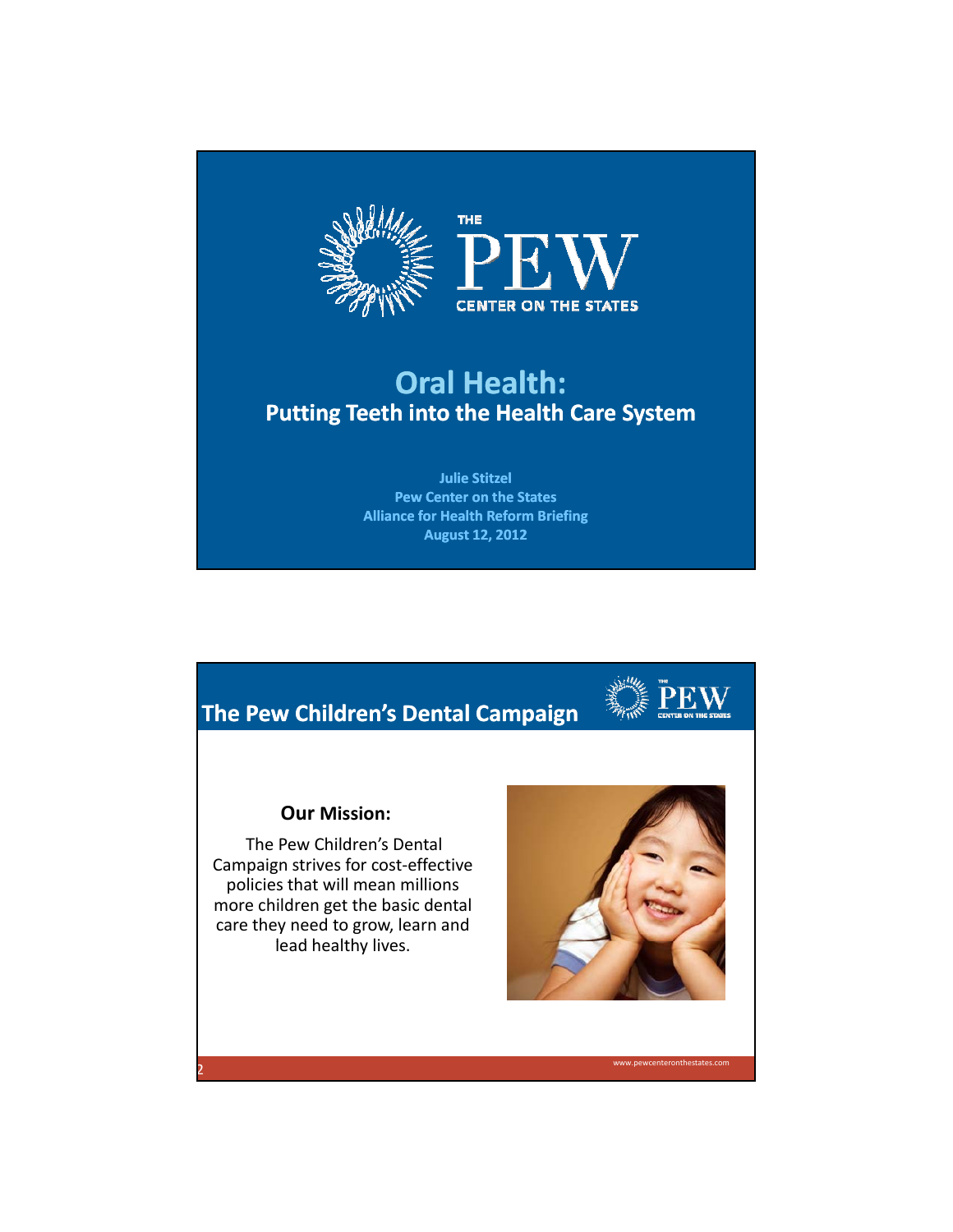

## **Oral Health: Putting Teeth into the Health Care System**

**Julie Stitzel Pew Center on the States Alliance for Health Reform Briefing August 12, 2012**





www.pewcenteronthestates.com

## **Our Mission:**

The Pew Children's Dental Campaign strives for cost‐effective policies that will mean millions more children get the basic dental care they need to grow, learn and lead healthy lives.

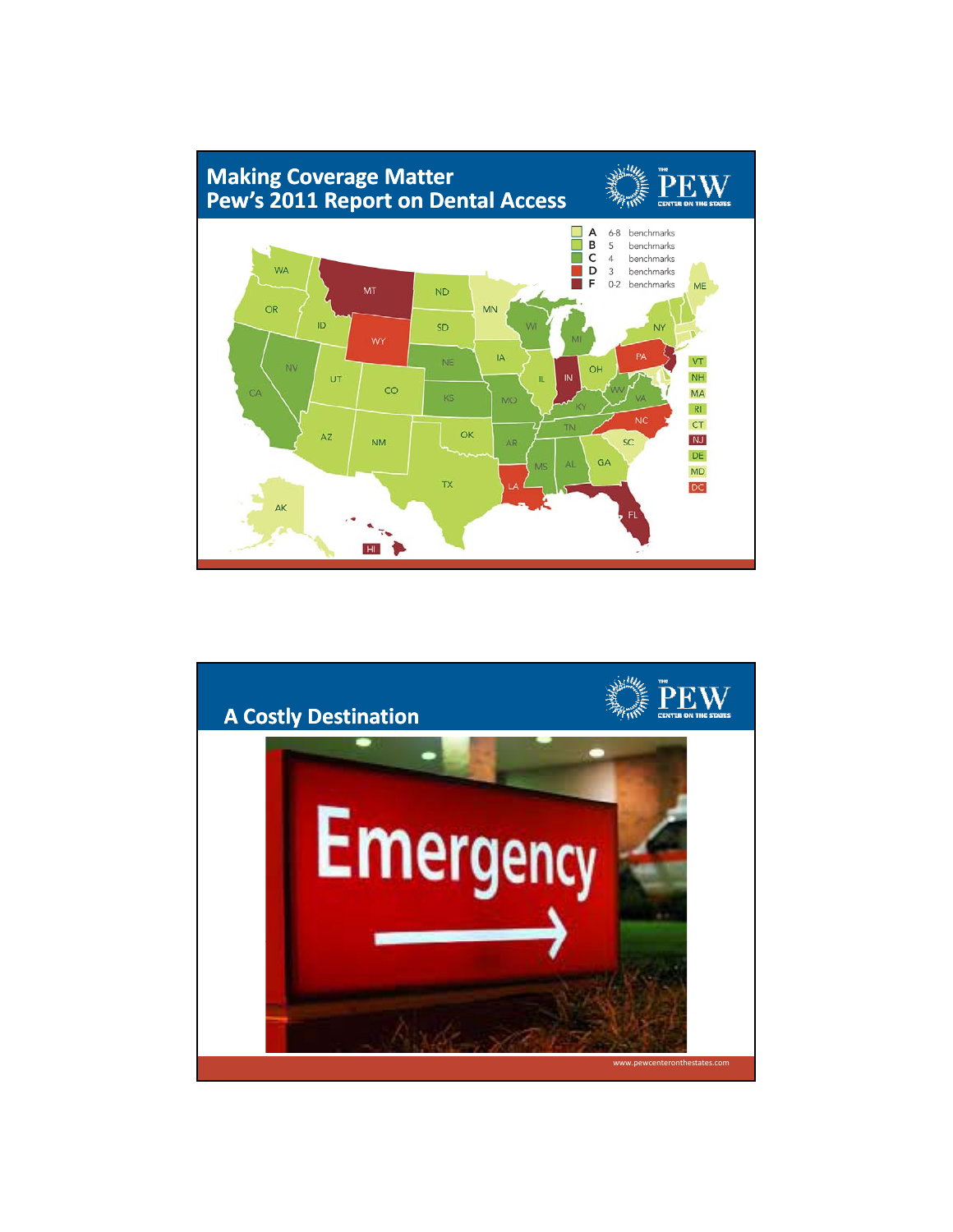

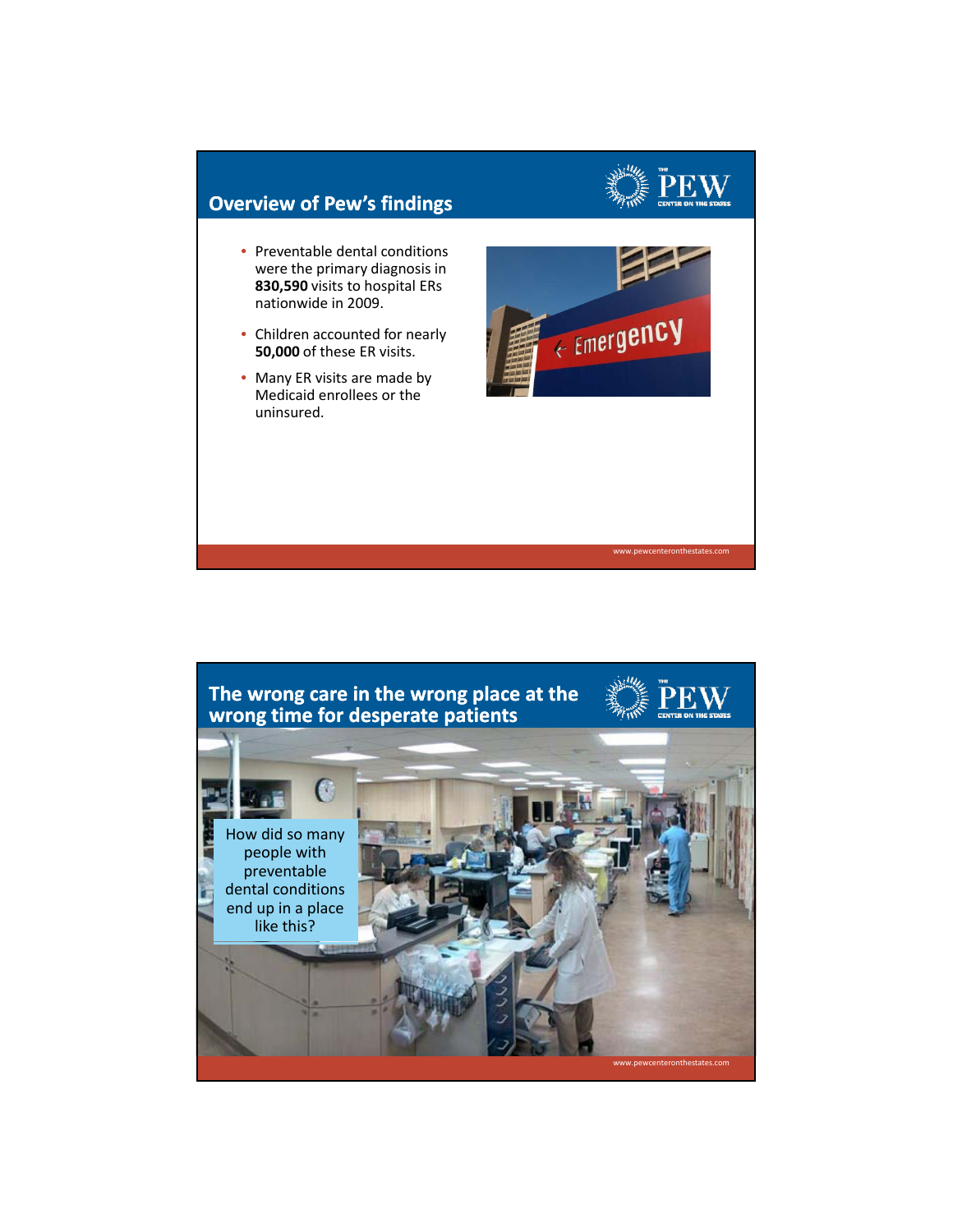

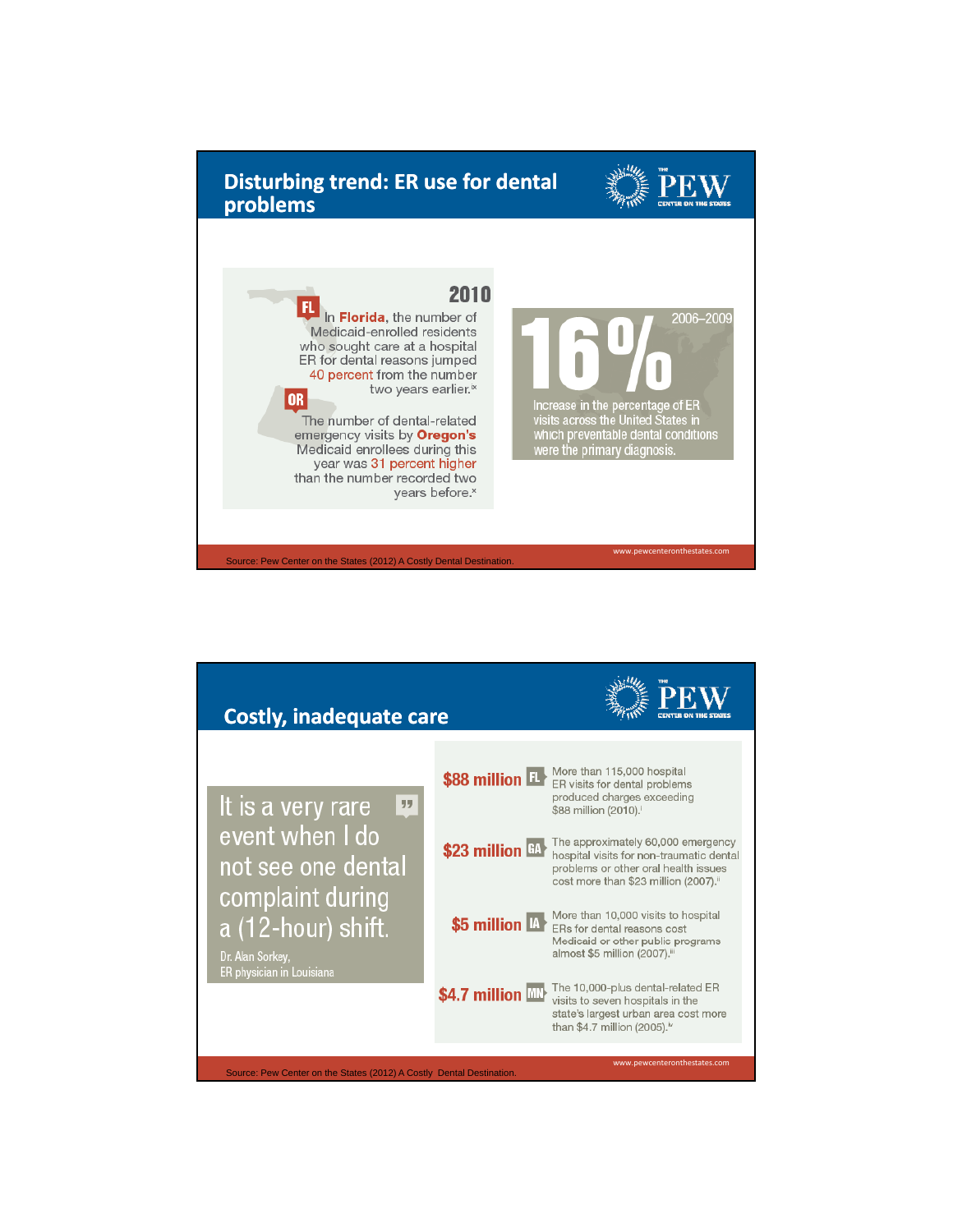

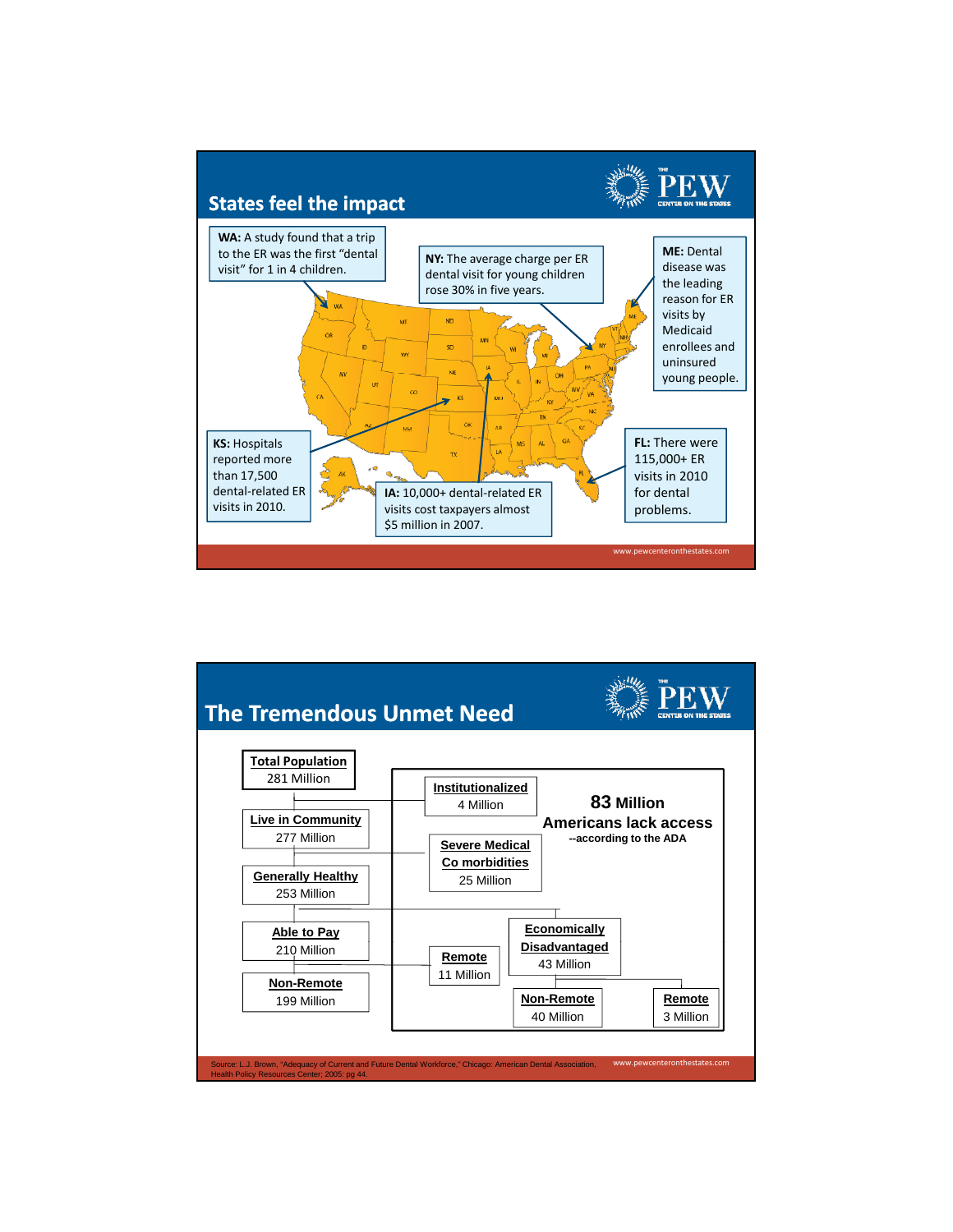

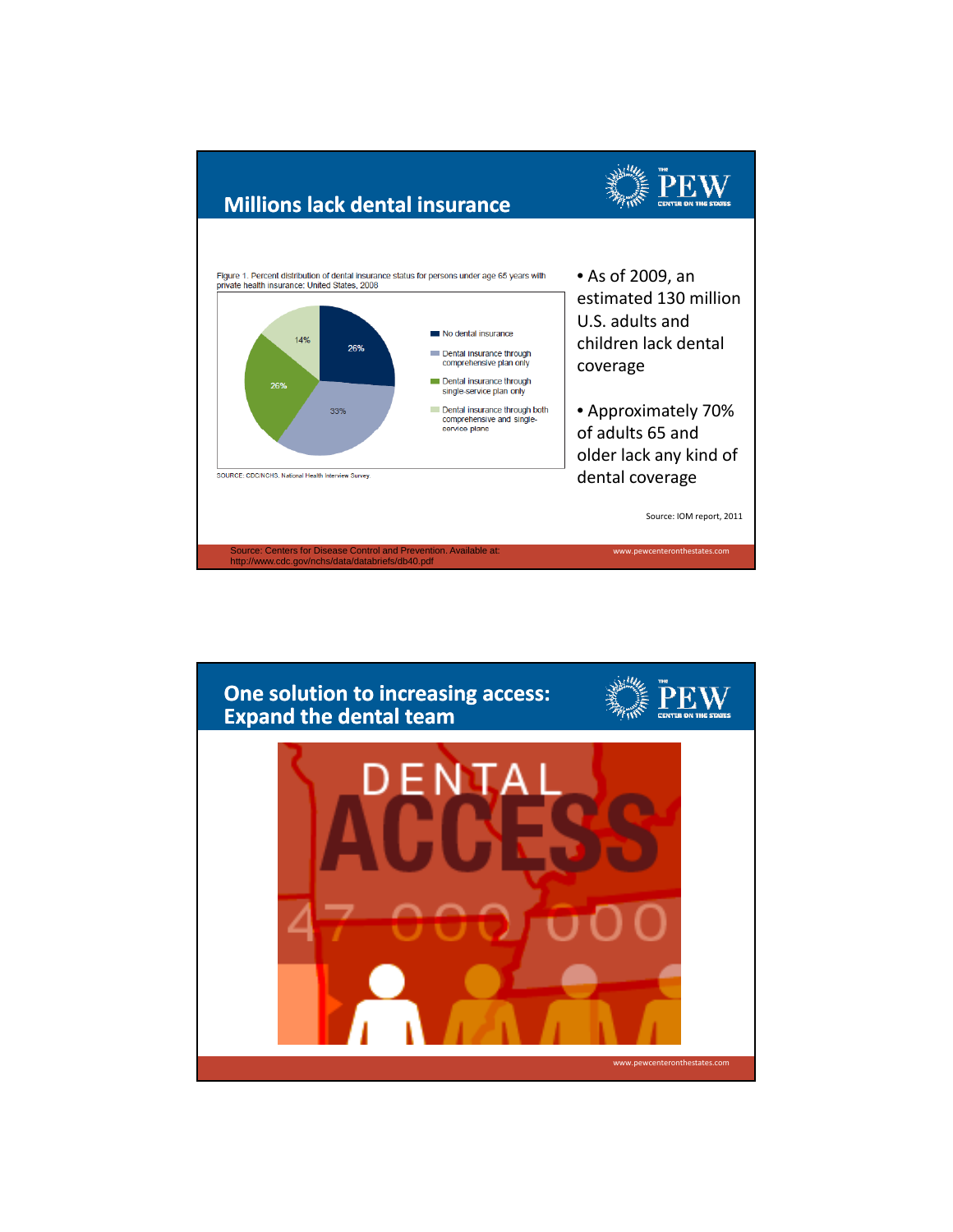

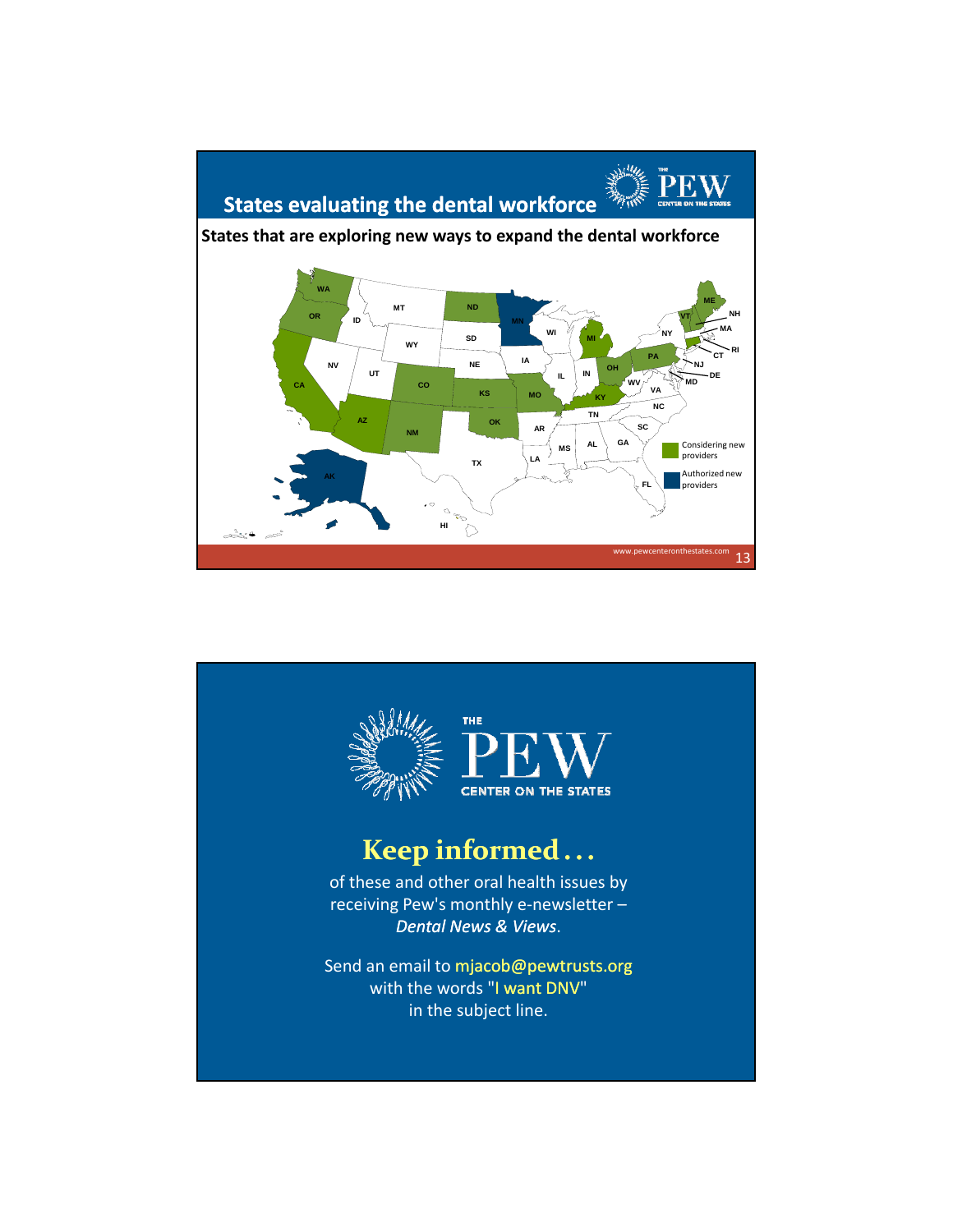